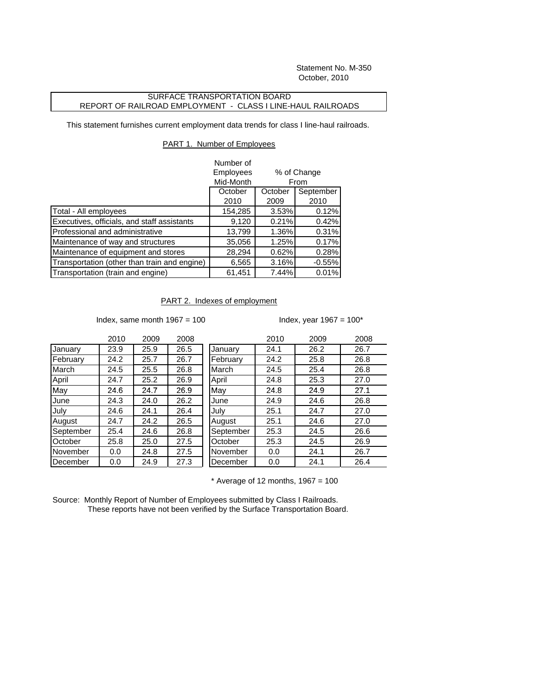Statement No. M-350 October, 2010

## SURFACE TRANSPORTATION BOARD REPORT OF RAILROAD EMPLOYMENT - CLASS I LINE-HAUL RAILROADS

This statement furnishes current employment data trends for class I line-haul railroads.

## PART 1. Number of Employees

|                                              | Number of          |                     |           |
|----------------------------------------------|--------------------|---------------------|-----------|
|                                              | <b>Employees</b>   | % of Change<br>From |           |
|                                              | Mid-Month          |                     |           |
|                                              | October<br>October |                     | September |
|                                              | 2010               | 2009                | 2010      |
| Total - All employees                        | 154,285            | 3.53%               | 0.12%     |
| Executives, officials, and staff assistants  | 9,120              | 0.21%               | 0.42%     |
| Professional and administrative              | 13,799             | 1.36%               | 0.31%     |
| Maintenance of way and structures            | 35,056             | 1.25%               | 0.17%     |
| Maintenance of equipment and stores          | 28,294             | 0.62%               | 0.28%     |
| Transportation (other than train and engine) | 6,565              | 3.16%               | $-0.55%$  |
| Transportation (train and engine)            | 61,451             | 7.44%               | 0.01%     |

PART 2. Indexes of employment

Index, same month  $1967 = 100$  Index, year  $1967 = 100$ \*

|           | 2010 | 2009 | 2008 |
|-----------|------|------|------|
| January   | 23.9 | 25.9 | 26.5 |
| February  | 24.2 | 25.7 | 26.7 |
| March     | 24.5 | 25.5 | 26.8 |
| April     | 24.7 | 25.2 | 26.9 |
| May       | 24.6 | 24.7 | 26.9 |
| June      | 24.3 | 24.0 | 26.2 |
| July      | 24.6 | 24.1 | 26.4 |
| August    | 24.7 | 24.2 | 26.5 |
| September | 25.4 | 24.6 | 26.8 |
| October   | 25.8 | 25.0 | 27.5 |
| November  | 0.0  | 24.8 | 27.5 |
| December  | 0.0  | 24.9 | 27.3 |

|           | 2010 | 2009 | 2008 |           | 2010 | 2009 | 2008 |
|-----------|------|------|------|-----------|------|------|------|
| January   | 23.9 | 25.9 | 26.5 | January   | 24.1 | 26.2 | 26.7 |
| February  | 24.2 | 25.7 | 26.7 | February  | 24.2 | 25.8 | 26.8 |
| March     | 24.5 | 25.5 | 26.8 | March     | 24.5 | 25.4 | 26.8 |
| April     | 24.7 | 25.2 | 26.9 | April     | 24.8 | 25.3 | 27.0 |
| May       | 24.6 | 24.7 | 26.9 | May       | 24.8 | 24.9 | 27.1 |
| June      | 24.3 | 24.0 | 26.2 | June      | 24.9 | 24.6 | 26.8 |
| July      | 24.6 | 24.1 | 26.4 | July      | 25.1 | 24.7 | 27.0 |
| August    | 24.7 | 24.2 | 26.5 | August    | 25.1 | 24.6 | 27.0 |
| September | 25.4 | 24.6 | 26.8 | September | 25.3 | 24.5 | 26.6 |
| October   | 25.8 | 25.0 | 27.5 | October   | 25.3 | 24.5 | 26.9 |
| November  | 0.0  | 24.8 | 27.5 | November  | 0.0  | 24.1 | 26.7 |
| December  | 0.0  | 24.9 | 27.3 | December  | 0.0  | 24.1 | 26.4 |
|           |      |      |      |           |      |      |      |

 $*$  Average of 12 months, 1967 = 100

Source: Monthly Report of Number of Employees submitted by Class I Railroads. These reports have not been verified by the Surface Transportation Board.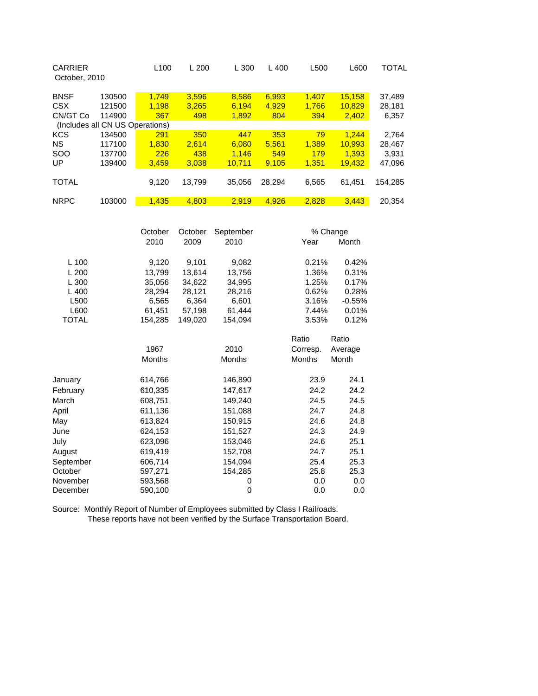| October, 2010 | L <sub>100</sub> | L200                            | L 300  | L400   | L500  | L600   | TOTAL   |
|---------------|------------------|---------------------------------|--------|--------|-------|--------|---------|
| 130500        | 1.749            | 3,596                           | 8,586  | 6,993  | 1.407 | 15.158 | 37,489  |
| 121500        | 1.198            | 3,265                           | 6.194  | 4,929  | 1,766 | 10,829 | 28,181  |
| 114900        | 367              | 498                             | 1,892  | 804    | 394   | 2,402  | 6,357   |
|               |                  |                                 |        |        |       |        |         |
| 134500        | 291              | 350                             | 447    | 353    | 79    | 1.244  | 2,764   |
| 117100        | 1.830            | 2.614                           | 6.080  | 5.561  | 1.389 | 10.993 | 28,467  |
| 137700        | 226              | 438                             | 1.146  | 549    | 179   | 1.393  | 3.931   |
| 139400        | 3.459            | 3,038                           | 10.711 | 9.105  | 1.351 | 19,432 | 47,096  |
|               |                  |                                 |        |        |       |        |         |
|               | 9,120            | 13.799                          | 35,056 | 28.294 | 6,565 | 61,451 | 154,285 |
|               |                  |                                 |        |        |       |        |         |
| 103000        | 1.435            | 4.803                           | 2.919  | 4.926  | 2.828 | 3.443  | 20.354  |
|               |                  | (Includes all CN US Operations) |        |        |       |        |         |

|              | October       | October | September     |               | % Change |
|--------------|---------------|---------|---------------|---------------|----------|
|              | 2010          | 2009    | 2010          | Year          | Month    |
| $L$ 100      | 9,120         | 9,101   | 9,082         | 0.21%         | 0.42%    |
| L200         | 13,799        | 13,614  | 13,756        | 1.36%         | 0.31%    |
| L 300        | 35,056        | 34,622  | 34,995        | 1.25%         | 0.17%    |
| $L$ 400      | 28,294        | 28,121  | 28,216        | 0.62%         | 0.28%    |
| L500         | 6,565         | 6,364   | 6,601         | 3.16%         | $-0.55%$ |
| L600         | 61,451        | 57,198  | 61,444        | 7.44%         | 0.01%    |
| <b>TOTAL</b> | 154,285       | 149,020 | 154,094       | 3.53%         | 0.12%    |
|              |               |         |               | Ratio         | Ratio    |
|              | 1967          |         | 2010          | Corresp.      | Average  |
|              | <b>Months</b> |         | <b>Months</b> | <b>Months</b> | Month    |
| January      | 614,766       |         | 146,890       | 23.9          | 24.1     |
| February     | 610,335       |         | 147,617       | 24.2          | 24.2     |
| March        | 608,751       |         | 149,240       | 24.5          | 24.5     |
| April        | 611,136       |         | 151,088       | 24.7          | 24.8     |
| May          | 613,824       |         | 150,915       | 24.6          | 24.8     |
| June         | 624,153       |         | 151,527       | 24.3          | 24.9     |
| July         | 623,096       |         | 153,046       | 24.6          | 25.1     |
| August       | 619,419       |         | 152,708       | 24.7          | 25.1     |
| September    | 606,714       |         | 154,094       | 25.4          | 25.3     |
| October      | 597,271       |         | 154,285       | 25.8          | 25.3     |
| November     | 593,568       |         | 0             | 0.0           | 0.0      |
| December     | 590,100       |         | 0             | 0.0           | 0.0      |

Source: Monthly Report of Number of Employees submitted by Class I Railroads. These reports have not been verified by the Surface Transportation Board.